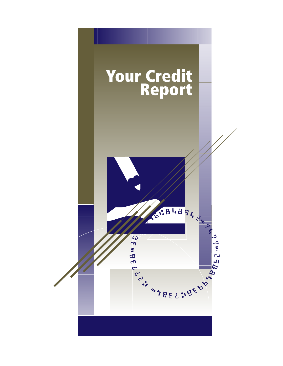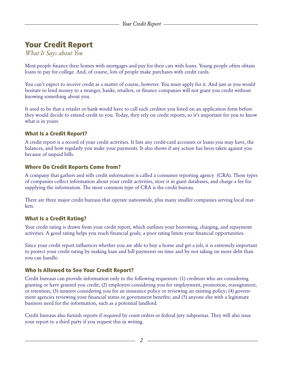# Your Credit Report

*What It Says about You*

Most people finance their homes with mortgages and pay for their cars with loans. Young people often obtain loans to pay for college. And, of course, lots of people make purchases with credit cards.

You can't expect to receive credit as a matter of course, however. You must apply for it. And just as you would hesitate to lend money to a stranger, banks, retailers, or finance companies will not grant you credit without knowing something about you.

It used to be that a retailer or bank would have to call each creditor you listed on an application form before they would decide to extend credit to you. Today, they rely on credit reports, so it's important for you to know what is in yours.

## What Is a Credit Report?

A credit report is a record of your credit activities. It lists any credit-card accounts or loans you may have, the balances, and how regularly you make your payments. It also shows if any action has been taken against you because of unpaid bills.

#### Where Do Credit Reports Come from?

A company that gathers and sells credit information is called a consumer reporting agency (CRA). These types of companies collect information about your credit activities, store it in giant databases, and charge a fee for supplying the information. The most common type of CRA is the credit bureau.

There are three major credit bureaus that operate nationwide, plus many smaller companies serving local markets.

# What Is a Credit Rating?

Your credit rating is drawn from your credit report, which outlines your borrowing, charging, and repayment activities. A good rating helps you reach financial goals; a poor rating limits your financial opportunities.

Since your credit report influences whether you are able to buy a home and get a job, it is extremely important to protect your credit rating by making loan and bill payments on time and by not taking on more debt than you can handle.

#### Who Is Allowed to See Your Credit Report?

Credit bureaus can provide information only to the following requestors: (1) creditors who are considering granting or have granted you credit; (2) employers considering you for employment, promotion, reassignment, or retention; (3) insurers considering you for an insurance policy or reviewing an existing policy; (4) government agencies reviewing your financial status or government benefits; and (5) anyone else with a legitimate business need for the information, such as a potential landlord.

Credit bureaus also furnish reports if required by court orders or federal jury subpoenas. They will also issue your report to a third party if you request this in writing.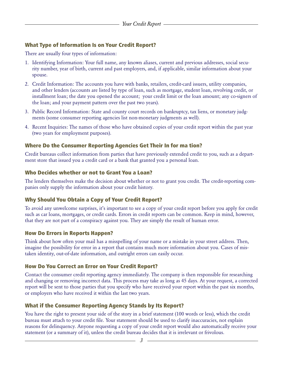# What Type of Information Is on Your Credit Report?

There are usually four types of information:

- 1. Identifying Information: Your full name, any known aliases, current and previous addresses, social security number, year of birth, current and past employers, and, if applicable, similar information about your spouse.
- 2. Credit Information: The accounts you have with banks, retailers, credit-card issuers, utility companies, and other lenders (accounts are listed by type of loan, such as mortgage, student loan, revolving credit, or installment loan; the date you opened the account; your credit limit or the loan amount; any co-signers of the loan; and your payment pattern over the past two years).
- 3. Public Record Information: State and county court records on bankruptcy, tax liens, or monetary judgments (some consumer reporting agencies list non-monetary judgments as well).
- 4. Recent Inquiries: The names of those who have obtained copies of your credit report within the past year (two years for employment purposes).

# Where Do the Consumer Reporting Agencies Get Their In for ma tion?

Credit bureaus collect information from parties that have previously extended credit to you, such as a department store that issued you a credit card or a bank that granted you a personal loan.

## Who Decides whether or not to Grant You a Loan?

The lenders themselves make the decision about whether or not to grant you credit. The credit-reporting companies only supply the information about your credit history.

# Why Should You Obtain a Copy of Your Credit Report?

To avoid any unwelcome surprises, it's important to see a copy of your credit report before you apply for credit such as car loans, mortgages, or credit cards. Errors in credit reports can be common. Keep in mind, however, that they are not part of a conspiracy against you. They are simply the result of human error.

#### How Do Errors in Reports Happen?

Think about how often your mail has a misspelling of your name or a mistake in your street address. Then, imagine the possibility for error in a report that contains much more information about you. Cases of mistaken identity, out-of-date information, and outright errors can easily occur.

# How Do You Correct an Error on Your Credit Report?

Contact the consumer credit reporting agency immediately. The company is then responsible for researching and changing or removing incorrect data. This process may take as long as 45 days. At your request, a corrected report will be sent to those parties that you specify who have received your report within the past six months, or employers who have received it within the last two years.

# What if the Consumer Reporting Agency Stands by Its Report?

You have the right to present your side of the story in a brief statement (100 words or less), which the credit bureau must attach to your credit file. Your statement should be used to clarify inaccuracies, not explain reasons for delinquency. Anyone requesting a copy of your credit report would also automatically receive your statement (or a summary of it), unless the credit bureau decides that it is irrelevant or frivolous.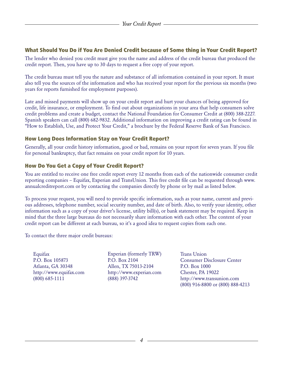## What Should You Do if You Are Denied Credit because of Some thing in Your Credit Report?

The lender who denied you credit must give you the name and address of the credit bureau that produced the credit report. Then, you have up to 30 days to request a free copy of your report.

The credit bureau must tell you the nature and substance of all information contained in your report. It must also tell you the sources of the information and who has received your report for the previous six months (two years for reports furnished for employment purposes).

Late and missed payments will show up on your credit report and hurt your chances of being approved for credit, life insurance, or employment. To find out about organizations in your area that help consumers solve credit problems and create a budget, contact the National Foundation for Consumer Credit at (800) 388-2227. Spanish speakers can call (800) 682-9832. Additional information on improving a credit rating can be found in "How to Establish, Use, and Protect Your Credit," a brochure by the Federal Reserve Bank of San Francisco.

## How Long Does Information Stay on Your Credit Report?

Generally, all your credit history information, good or bad, remains on your report for seven years. If you file for personal bankruptcy, that fact remains on your credit report for 10 years.

## How Do You Get a Copy of Your Credit Report?

You are entitled to receive one free credit report every 12 months from each of the nationwide consumer credit reporting companies – Equifax, Experian and TransUnion. This free credit file can be requested through www. annualcreditreport.com or by contacting the companies directly by phone or by mail as listed below.

To process your request, you will need to provide specific information, such as your name, current and previous addresses, telephone number, social security number, and date of birth. Also, to verify your identity, other information such as a copy of your driver's license, utility bill(s), or bank statement may be required. Keep in mind that the three large bureaus do not necessarily share information with each other. The content of your credit report can be different at each bureau, so it's a good idea to request copies from each one.

To contact the three major credit bureaus:

Equifax P.O. Box 105873 Atlanta, GA 30348 http://www.equifax.com (800) 685-1111

Experian (formerly TRW) P.O. Box 2104 Allen, TX 75013-2104 http://www.experian.com (888) 397-3742

Trans Union Consumer Disclosure Center P.O. Box 1000 Chester, PA 19022 http://www.transunion.com (800) 916-8800 or (800) 888-4213